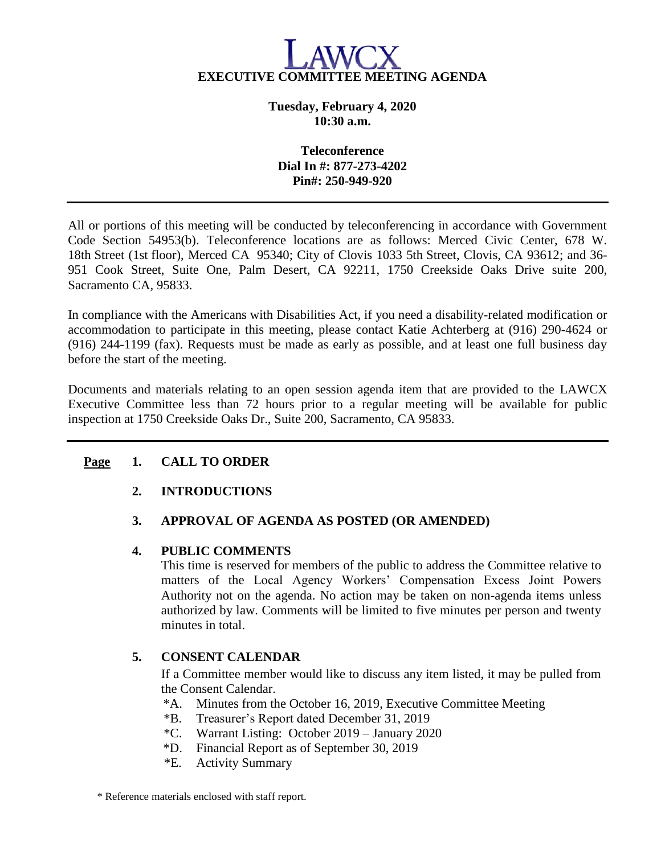

**Tuesday, February 4, 2020 10:30 a.m.**

## **Teleconference Dial In #: 877-273-4202 Pin#: 250-949-920**

All or portions of this meeting will be conducted by teleconferencing in accordance with Government Code Section 54953(b). Teleconference locations are as follows: Merced Civic Center, 678 W. 18th Street (1st floor), Merced CA 95340; City of Clovis 1033 5th Street, Clovis, CA 93612; and 36- 951 Cook Street, Suite One, Palm Desert, CA 92211, 1750 Creekside Oaks Drive suite 200, Sacramento CA, 95833.

In compliance with the Americans with Disabilities Act, if you need a disability-related modification or accommodation to participate in this meeting, please contact Katie Achterberg at (916) 290-4624 or (916) 244-1199 (fax). Requests must be made as early as possible, and at least one full business day before the start of the meeting.

Documents and materials relating to an open session agenda item that are provided to the LAWCX Executive Committee less than 72 hours prior to a regular meeting will be available for public inspection at 1750 Creekside Oaks Dr., Suite 200, Sacramento, CA 95833.

# **Page 1. CALL TO ORDER**

## **2. INTRODUCTIONS**

# **3. APPROVAL OF AGENDA AS POSTED (OR AMENDED)**

## **4. PUBLIC COMMENTS**

This time is reserved for members of the public to address the Committee relative to matters of the Local Agency Workers' Compensation Excess Joint Powers Authority not on the agenda. No action may be taken on non-agenda items unless authorized by law. Comments will be limited to five minutes per person and twenty minutes in total.

## **5. CONSENT CALENDAR**

If a Committee member would like to discuss any item listed, it may be pulled from the Consent Calendar.

- \*A. Minutes from the October 16, 2019, Executive Committee Meeting
- \*B. Treasurer's Report dated December 31, 2019
- \*C. Warrant Listing: October 2019 January 2020
- \*D. Financial Report as of September 30, 2019
- $E^*$ E. Activity Summary

\* Reference materials enclosed with staff report.